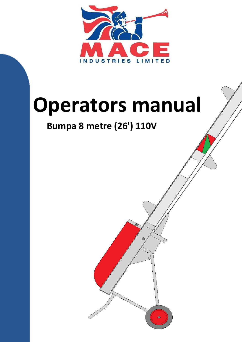

# **Operators manual**

## **Bumpa 8 metre (26') 110V**

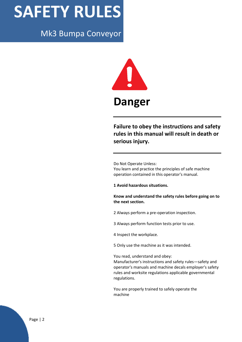## **SAFETY RULES**

### Mk3 Bumpa Conveyor



## **Danger**

#### **Failure to obey the instructions and safety rules in this manual will result in death or serious injury.**

Do Not Operate Unless:

You learn and practice the principles of safe machine operation contained in this operator's manual.

**1 Avoid hazardous situations.**

**Know and understand the safety rules before going on to the next section.**

- 2 Always perform a pre-operation inspection.
- 3 Always perform function tests prior to use.

4 Inspect the workplace.

5 Only use the machine as it was intended.

You read, understand and obey: Manufacturer's instructions and safety rules—safety and operator's manuals and machine decals employer's safety rules and worksite regulations applicable governmental regulations.

You are properly trained to safely operate the machine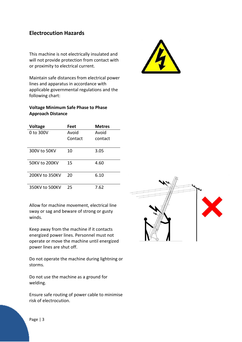#### **Electrocution Hazards**

This machine is not electrically insulated and will not provide protection from contact with or proximity to electrical current.



Maintain safe distances from electrical power lines and apparatus in accordance with applicable governmental regulations and the following chart:

#### **Voltage Minimum Safe Phase to Phase Approach Distance**

| Voltage        | Feet    | Metres  |
|----------------|---------|---------|
| $0$ to 300V    | Avoid   | Avoid   |
|                | Contact | contact |
| 300V to 50KV   | 10      | 3.05    |
| 50KV to 200KV  | 15      | 4.60    |
| 200KV to 350KV | 20      | 6.10    |
| 350KV to 500KV | 25      | 7.62    |

Allow for machine movement, electrical line sway or sag and beware of strong or gusty winds.

Keep away from the machine if it contacts energized power lines. Personnel must not operate or move the machine until energized power lines are shut off.

Do not operate the machine during lightning or storms.

Do not use the machine as a ground for welding.

Ensure safe routing of power cable to minimise risk of electrocution.

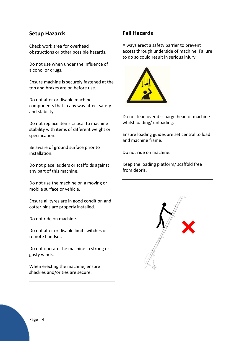#### **Setup Hazards**

Check work area for overhead obstructions or other possible hazards.

Do not use when under the influence of alcohol or drugs.

Ensure machine is securely fastened at the top and brakes are on before use.

Do not alter or disable machine components that in any way affect safety and stability.

Do not replace items critical to machine stability with items of different weight or specification.

Be aware of ground surface prior to installation.

Do not place ladders or scaffolds against any part of this machine.

Do not use the machine on a moving or mobile surface or vehicle.

Ensure all tyres are in good condition and cotter pins are properly installed.

Do not ride on machine.

Do not alter or disable limit switches or remote handset.

Do not operate the machine in strong or gusty winds.

When erecting the machine, ensure shackles and/or ties are secure.

#### **Fall Hazards**

Always erect a safety barrier to prevent access through underside of machine. Failure to do so could result in serious injury.



Do not lean over discharge head of machine whilst loading/ unloading.

Ensure loading guides are set central to load and machine frame.

Do not ride on machine.

Keep the loading platform/ scaffold free from debris.

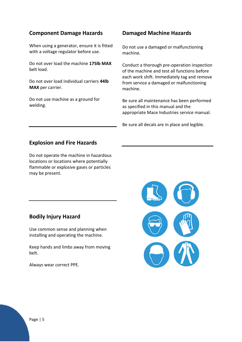#### **Component Damage Hazards**

When using a generator, ensure it is fitted with a voltage regulator before use.

Do not over load the machine **175lb MAX** belt load.

Do not over load individual carriers **44lb MAX** per carrier.

Do not use machine as a ground for welding.

#### **Damaged Machine Hazards**

Do not use a damaged or malfunctioning machine.

Conduct a thorough pre-operation inspection of the machine and test all functions before each work shift. Immediately tag and remove from service a damaged or malfunctioning machine.

Be sure all maintenance has been performed as specified in this manual and the appropriate Mace Industries service manual.

Be sure all decals are in place and legible.

#### **Explosion and Fire Hazards**

Do not operate the machine in hazardous locations or locations where potentially flammable or explosive gases or particles may be present.

#### **Bodily Injury Hazard**

Use common sense and planning when installing and operating the machine.

Keep hands and limbs away from moving belt.

Always wear correct PPE.

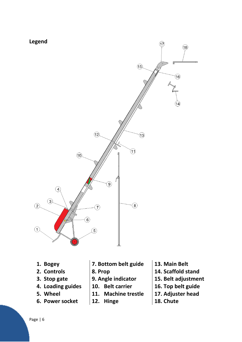**Legend** 



- **1. Bogey**
- **2. Controls**
- **3. Stop gate**
- **4. Loading guides**
- **5. Wheel**
- **6. Power socket**
- **7. Bottom belt guide**
- **8. Prop**
- **9. Angle indicator**
- **10. Belt carrier**
- **11. Machine trestle**
- **12. Hinge**
- **13. Main Belt**
- **14. Scaffold stand**
- **15. Belt adjustment**
- **16. Top belt guide**
- **17. Adjuster head**
- **18. Chute**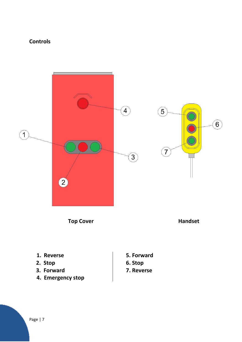#### **Controls**



**Top Cover Cover Cover Cover Cover Cover Cover Cover Cover Cover Cover Cover Cover Cover Cover Cover Cover Cover Cover Cover Cover Cover Cover Cover Cover Cover Cover Cover Cover Cover Cover Cover Cover Cover Cover Cover C** 

- **1.** Reverse **5. Forward**<br> **2.** Stop **6. Stop**
- **2. Stop 6. Stop**
- **3. Forward 7. Reverse**
- **4. Emergency stop**
- 
- 
- 

Page | 7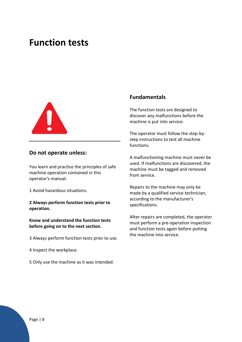## **Function tests**



#### **Do not operate unless:**

You learn and practice the principles of safe machine operation contained in this operator's manual.

1 Avoid hazardous situations.

**2 Always perform function tests prior to operation.** 

**Know and understand the function tests before going on to the next section.** 

3 Always perform function tests prior to use.

4 Inspect the workplace.

5 Only use the machine as it was intended.

#### **Fundamentals**

The function tests are designed to discover any malfunctions before the machine is put into service.

The operator must follow the step-bystep instructions to test all machine functions.

A malfunctioning machine must never be used. If malfunctions are discovered, the machine must be tagged and removed from service.

Repairs to the machine may only be made by a qualified service technician, according to the manufacturer's specifications.

After repairs are completed, the operator must perform a pre-operation inspection and function tests again before putting the machine into service.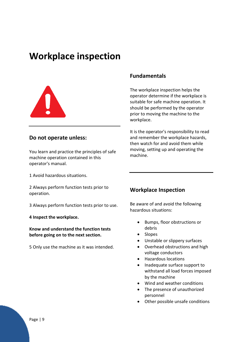## **Workplace inspection**



#### **Do not operate unless:**

You learn and practice the principles of safe machine operation contained in this operator's manual.

1 Avoid hazardous situations.

2 Always perform function tests prior to operation.

3 Always perform function tests prior to use.

**4 Inspect the workplace.** 

**Know and understand the function tests before going on to the next section.** 

5 Only use the machine as it was intended.

#### **Fundamentals**

The workplace inspection helps the operator determine if the workplace is suitable for safe machine operation. It should be performed by the operator prior to moving the machine to the workplace.

It is the operator's responsibility to read and remember the workplace hazards, then watch for and avoid them while moving, setting up and operating the machine.

#### **Workplace Inspection**

Be aware of and avoid the following hazardous situations:

- Bumps, floor obstructions or debris
- Slopes
- Unstable or slippery surfaces
- Overhead obstructions and high voltage conductors
- Hazardous locations
- Inadequate surface support to withstand all load forces imposed by the machine
- Wind and weather conditions
- The presence of unauthorized personnel
- Other possible unsafe conditions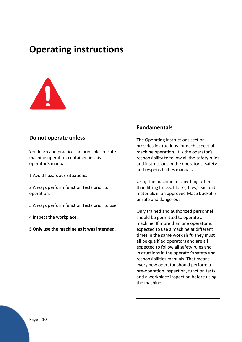## **Operating instructions**



#### **Do not operate unless:**

You learn and practice the principles of safe machine operation contained in this operator's manual.

1 Avoid hazardous situations.

2 Always perform function tests prior to operation.

3 Always perform function tests prior to use.

4 Inspect the workplace.

**5 Only use the machine as it was intended.** 

#### **Fundamentals**

The Operating Instructions section provides instructions for each aspect of machine operation. It is the operator's responsibility to follow all the safety rules and instructions in the operator's, safety and responsibilities manuals.

Using the machine for anything other than lifting bricks, blocks, tiles, lead and materials in an approved Mace bucket is unsafe and dangerous.

Only trained and authorized personnel should be permitted to operate a machine. If more than one operator is expected to use a machine at different times in the same work shift, they must all be qualified operators and are all expected to follow all safety rules and instructions in the operator's safety and responsibilities manuals. That means every new operator should perform a pre-operation inspection, function tests, and a workplace inspection before using the machine.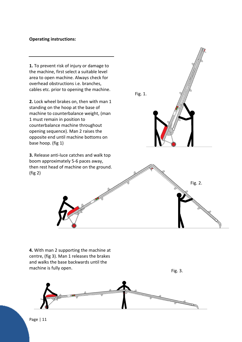#### **Operating instructions:**

**1.** To prevent risk of injury or damage to the machine, first select a suitable level area to open machine. Always check for overhead obstructions i.e. branches, cables etc. prior to opening the machine.

**2.** Lock wheel brakes on, then with man 1 standing on the hoop at the base of machine to counterbalance weight, (man 1 must remain in position to counterbalance machine throughout opening sequence). Man 2 raises the opposite end until machine bottoms on base hoop. (fig 1)

**3.** Release anti-luce catches and walk top boom approximately 5-6 paces away, then rest head of machine on the ground. (fig 2)

Fig. 1.

Fig. 2.

Fig. 3.

**4.** With man 2 supporting the machine at centre, (fig 3). Man 1 releases the brakes and walks the base backwards until the machine is fully open.



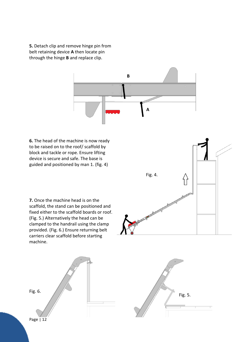**5.** Detach clip and remove hinge pin from belt retaining device **A** then locate pin through the hinge **B** and replace clip.



**6.** The head of the machine is now ready to be raised on to the roof/ scaffold by block and tackle or rope. Ensure lifting device is secure and safe. The base is guided and positioned by man 1. (fig. 4)

**7.** Once the machine head is on the scaffold, the stand can be positioned and fixed either to the scaffold boards or roof. (Fig. 5.) Alternatively the head can be clamped to the handrail using the clamp provided. (Fig. 6.) Ensure returning belt carriers clear scaffold before starting machine.



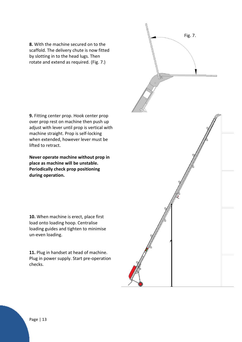**8.** With the machine secured on to the scaffold. The delivery chute is now fitted by slotting in to the head lugs. Then rotate and extend as required. (Fig. 7.)

Fig. 7.Tal

**9.** Fitting center prop. Hook center prop over prop rest on machine then push up adjust with lever until prop is vertical with machine straight. Prop is self-locking when extended, however lever must be lifted to retract.

**Never operate machine without prop in place as machine will be unstable. Periodically check prop positioning during operation.** 

**10.** When machine is erect, place first load onto loading hoop. Centralise loading guides and tighten to minimise un-even loading.

**11.** Plug in handset at head of machine. Plug in power supply. Start pre-operation checks.